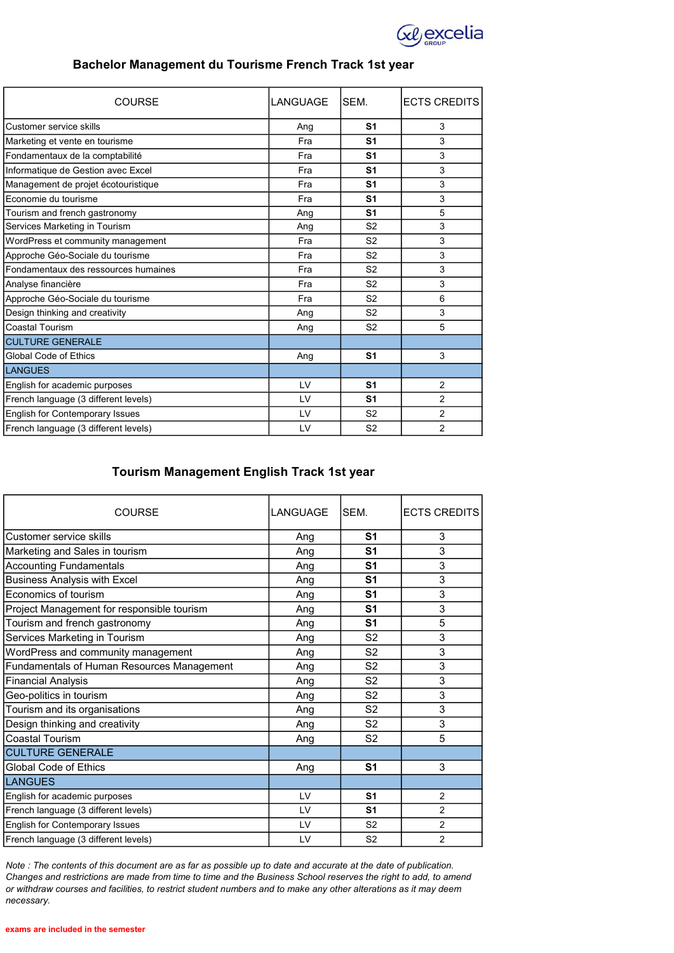

| <b>COURSE</b>                        | LANGUAGE  | SFM.           | <b>ECTS CREDITS</b> |
|--------------------------------------|-----------|----------------|---------------------|
| Customer service skills              | Ang       | S1             | 3                   |
| Marketing et vente en tourisme       | Fra       | S1             | 3                   |
| Fondamentaux de la comptabilité      | Fra       | S <sub>1</sub> | 3                   |
| Informatique de Gestion avec Excel   | Fra       | S <sub>1</sub> | 3                   |
| Management de projet écotouristique  | Fra       | S <sub>1</sub> | 3                   |
| Economie du tourisme                 | Fra       | S <sub>1</sub> | 3                   |
| Tourism and french gastronomy        | Ang       | S1             | 5                   |
| Services Marketing in Tourism        | Ang       | S <sub>2</sub> | 3                   |
| WordPress et community management    | Fra       | S <sub>2</sub> | 3                   |
| Approche Géo-Sociale du tourisme     | Fra       | S <sub>2</sub> | 3                   |
| Fondamentaux des ressources humaines | Fra       | S <sub>2</sub> | 3                   |
| Analyse financière                   | Fra       | S <sub>2</sub> | 3                   |
| Approche Géo-Sociale du tourisme     | Fra       | S <sub>2</sub> | 6                   |
| Design thinking and creativity       | Ang       | S <sub>2</sub> | 3                   |
| Coastal Tourism                      | Ang       | S <sub>2</sub> | 5                   |
| <b>CULTURE GENERALE</b>              |           |                |                     |
| Global Code of Ethics                | Ang       | S <sub>1</sub> | 3                   |
| <b>LANGUES</b>                       |           |                |                     |
| English for academic purposes        | <b>LV</b> | S1             | 2                   |
| French language (3 different levels) | LV        | S1             | $\overline{2}$      |
| English for Contemporary Issues      | LV        | S <sub>2</sub> | $\overline{2}$      |
| French language (3 different levels) | LV        | S <sub>2</sub> | $\overline{2}$      |

### Bachelor Management du Tourisme French Track 1st year

### Tourism Management English Track 1st year

| <b>COURSE</b>                              | LANGUAGE<br>SFM.        |                | <b>ECTS CREDITS</b> |
|--------------------------------------------|-------------------------|----------------|---------------------|
| Customer service skills                    | Ang                     | S <sub>1</sub> | 3                   |
| Marketing and Sales in tourism             | Ang                     | S <sub>1</sub> | 3                   |
| <b>Accounting Fundamentals</b>             | Ang                     | S <sub>1</sub> | 3                   |
| <b>Business Analysis with Excel</b>        | Ang                     | S <sub>1</sub> | 3                   |
| Economics of tourism                       | Ang                     | S <sub>1</sub> | 3                   |
| Project Management for responsible tourism | Ang                     | S <sub>1</sub> | 3                   |
| Tourism and french gastronomy              | Ang                     | S <sub>1</sub> | 5                   |
| Services Marketing in Tourism              | Ang                     | S <sub>2</sub> | 3                   |
| WordPress and community management         | Ang                     | S <sub>2</sub> | 3                   |
| Fundamentals of Human Resources Management | Ang                     | S <sub>2</sub> | 3                   |
| <b>Financial Analysis</b>                  | Ang                     | S <sub>2</sub> | 3                   |
| Geo-politics in tourism                    | Ang                     | S <sub>2</sub> | 3                   |
| Tourism and its organisations              | Ang                     | S <sub>2</sub> | 3                   |
| Design thinking and creativity             | Ang                     | S <sub>2</sub> | 3                   |
| Coastal Tourism                            | Ang                     | S <sub>2</sub> | 5                   |
| <b>CULTURE GENERALE</b>                    |                         |                |                     |
| <b>Global Code of Ethics</b>               | Ang                     | S <sub>1</sub> | 3                   |
| <b>LANGUES</b>                             |                         |                |                     |
| English for academic purposes              | $\mathsf{IV}$           | S <sub>1</sub> | 2                   |
| French language (3 different levels)       | $\mathsf{I} \mathsf{V}$ | S <sub>1</sub> | $\overline{2}$      |
| English for Contemporary Issues            | LV                      | S <sub>2</sub> | $\overline{2}$      |
| French language (3 different levels)       | LV                      | S <sub>2</sub> | $\overline{2}$      |

Note : The contents of this document are as far as possible up to date and accurate at the date of publication. Changes and restrictions are made from time to time and the Business School reserves the right to add, to amend or withdraw courses and facilities, to restrict student numbers and to make any other alterations as it may deem necessary.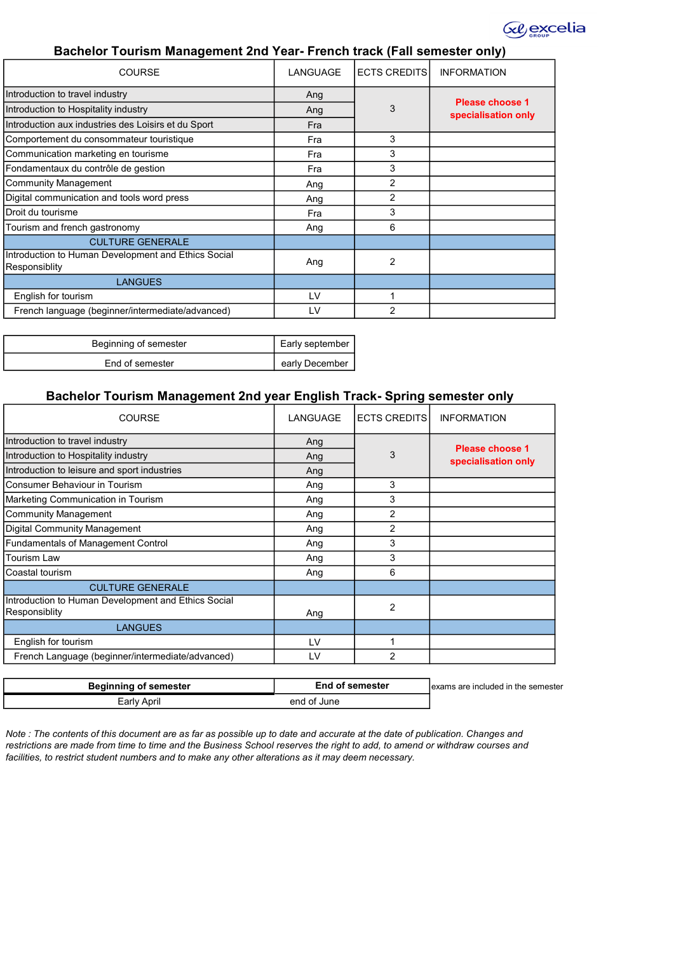

# Bachelor Tourism Management 2nd Year- French track (Fall semester only)

| <b>COURSE</b>                                                        | LANGUAGE | <b>ECTS CREDITS</b> | <b>INFORMATION</b>                     |
|----------------------------------------------------------------------|----------|---------------------|----------------------------------------|
| Introduction to travel industry                                      | Ang      |                     |                                        |
| Introduction to Hospitality industry                                 | Ang      | 3                   | Please choose 1<br>specialisation only |
| Introduction aux industries des Loisirs et du Sport                  | Fra      |                     |                                        |
| Comportement du consommateur touristique                             | Fra      | 3                   |                                        |
| Communication marketing en tourisme                                  | Fra      | 3                   |                                        |
| Fondamentaux du contrôle de gestion                                  | Fra      | 3                   |                                        |
| <b>Community Management</b>                                          | Ang      | 2                   |                                        |
| Digital communication and tools word press                           | Ang      | 2                   |                                        |
| lDroit du tourisme                                                   | Fra      | 3                   |                                        |
| Tourism and french gastronomy                                        | Ang      | 6                   |                                        |
| <b>CULTURE GENERALE</b>                                              |          |                     |                                        |
| Introduction to Human Development and Ethics Social<br>Responsiblity | Ang      | 2                   |                                        |
| <b>LANGUES</b>                                                       |          |                     |                                        |
| English for tourism                                                  | LV       |                     |                                        |
| French language (beginner/intermediate/advanced)                     | LV       | 2                   |                                        |

| Beginning of semester | Early september |
|-----------------------|-----------------|
| End of semester       | early December  |

## Bachelor Tourism Management 2nd year English Track- Spring semester only

| <b>COURSE</b>                                                        | LANGUAGE | <b>ECTS CREDITS</b> | <b>INFORMATION</b>                     |
|----------------------------------------------------------------------|----------|---------------------|----------------------------------------|
| Introduction to travel industry                                      | Ang      |                     |                                        |
| Introduction to Hospitality industry                                 | Ang      | 3                   | Please choose 1<br>specialisation only |
| Introduction to leisure and sport industries                         | Ang      |                     |                                        |
| Consumer Behaviour in Tourism                                        | Ang      | 3                   |                                        |
| Marketing Communication in Tourism                                   | Ang      | 3                   |                                        |
| <b>Community Management</b>                                          | Ang      | 2                   |                                        |
| <b>Digital Community Management</b>                                  | Ang      | 2                   |                                        |
| <b>Fundamentals of Management Control</b>                            | Ang      | 3                   |                                        |
| <b>Tourism Law</b>                                                   | Ang      | 3                   |                                        |
| Coastal tourism                                                      | Ang      | 6                   |                                        |
| <b>CULTURE GENERALE</b>                                              |          |                     |                                        |
| Introduction to Human Development and Ethics Social<br>Responsiblity | Ang      | 2                   |                                        |
| <b>LANGUES</b>                                                       |          |                     |                                        |
| English for tourism                                                  | LV       | 1                   |                                        |
| French Language (beginner/intermediate/advanced)                     | LV       | 2                   |                                        |

| Beginning of semester | End of semester | lexams are included in the semester |
|-----------------------|-----------------|-------------------------------------|
| Early April           | end of June     |                                     |

Note : The contents of this document are as far as possible up to date and accurate at the date of publication. Changes and restrictions are made from time to time and the Business School reserves the right to add, to amend or withdraw courses and facilities, to restrict student numbers and to make any other alterations as it may deem necessary.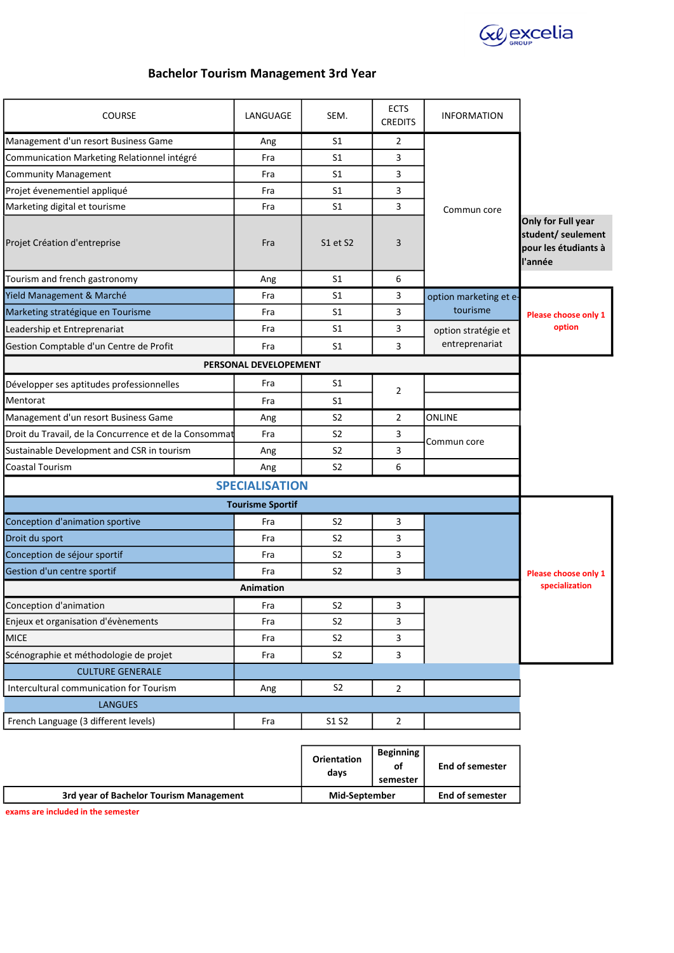

## Bachelor Tourism Management 3rd Year

| <b>COURSE</b>                                          | LANGUAGE                | SEM.           | <b>ECTS</b><br><b>CREDITS</b> | <b>INFORMATION</b>     |                                                                             |
|--------------------------------------------------------|-------------------------|----------------|-------------------------------|------------------------|-----------------------------------------------------------------------------|
| Management d'un resort Business Game                   | Ang                     | S <sub>1</sub> | $\overline{2}$                |                        |                                                                             |
| Communication Marketing Relationnel intégré            | Fra                     | S <sub>1</sub> | 3                             |                        |                                                                             |
| <b>Community Management</b>                            | Fra                     | S <sub>1</sub> | 3                             |                        |                                                                             |
| Projet évenementiel appliqué                           | Fra                     | S <sub>1</sub> | 3                             |                        |                                                                             |
| Marketing digital et tourisme                          | Fra                     | S <sub>1</sub> | 3                             | Commun core            |                                                                             |
| Projet Création d'entreprise                           | Fra                     | S1 et S2       | $\overline{3}$                |                        | Only for Full year<br>student/ seulement<br>pour les étudiants à<br>l'année |
| Tourism and french gastronomy                          | Ang                     | S <sub>1</sub> | 6                             |                        |                                                                             |
| Yield Management & Marché                              | Fra                     | S <sub>1</sub> | 3                             | option marketing et e- |                                                                             |
| Marketing stratégique en Tourisme                      | Fra                     | S <sub>1</sub> | 3                             | tourisme               | Please choose only 1                                                        |
| Leadership et Entreprenariat                           | Fra                     | S <sub>1</sub> | 3                             | option stratégie et    | option                                                                      |
| Gestion Comptable d'un Centre de Profit                | Fra                     | S1             | 3                             | entreprenariat         |                                                                             |
|                                                        | PERSONAL DEVELOPEMENT   |                |                               |                        |                                                                             |
| Développer ses aptitudes professionnelles              | Fra                     | S <sub>1</sub> |                               |                        |                                                                             |
| Mentorat                                               | Fra                     | S <sub>1</sub> | $\overline{2}$                |                        |                                                                             |
| Management d'un resort Business Game                   | Ang                     | S <sub>2</sub> | 2                             | <b>ONLINE</b>          |                                                                             |
| Droit du Travail, de la Concurrence et de la Consommat | Fra                     | S <sub>2</sub> | 3                             |                        |                                                                             |
| Sustainable Development and CSR in tourism             | Ang                     | S <sub>2</sub> | 3                             | Commun core            |                                                                             |
| <b>Coastal Tourism</b>                                 | Ang                     | S <sub>2</sub> | 6                             |                        |                                                                             |
|                                                        | <b>SPECIALISATION</b>   |                |                               |                        |                                                                             |
|                                                        | <b>Tourisme Sportif</b> |                |                               |                        |                                                                             |
| Conception d'animation sportive                        | Fra                     | S <sub>2</sub> | 3                             |                        |                                                                             |
| Droit du sport                                         | Fra                     | S <sub>2</sub> | 3                             |                        |                                                                             |
| Conception de séjour sportif                           | Fra                     | S <sub>2</sub> | 3                             |                        |                                                                             |
| Gestion d'un centre sportif                            | Fra                     | S <sub>2</sub> | 3                             |                        | Please choose only 1                                                        |
|                                                        | <b>Animation</b>        |                |                               |                        | specialization                                                              |
| Conception d'animation                                 | Fra                     | S <sub>2</sub> | 3                             |                        |                                                                             |
| Enjeux et organisation d'évènements                    | Fra                     | S <sub>2</sub> | 3                             |                        |                                                                             |
| <b>MICE</b>                                            | Fra                     | S <sub>2</sub> | 3                             |                        |                                                                             |
| Scénographie et méthodologie de projet                 | Fra                     | S <sub>2</sub> | 3                             |                        |                                                                             |
| <b>CULTURE GENERALE</b>                                |                         |                |                               |                        |                                                                             |
| Intercultural communication for Tourism                | Ang                     | S <sub>2</sub> | $\overline{2}$                |                        |                                                                             |
| <b>LANGUES</b>                                         |                         |                |                               |                        |                                                                             |
| French Language (3 different levels)                   | Fra                     | S1 S2          | $\overline{2}$                |                        |                                                                             |
|                                                        |                         |                |                               |                        |                                                                             |

|                                         | <b>Orientation</b><br>days | <b>Beginning</b><br>οt<br>semester | <b>End of semester</b> |
|-----------------------------------------|----------------------------|------------------------------------|------------------------|
| 3rd year of Bachelor Tourism Management | Mid-September              |                                    | <b>End of semester</b> |

exams are included in the semester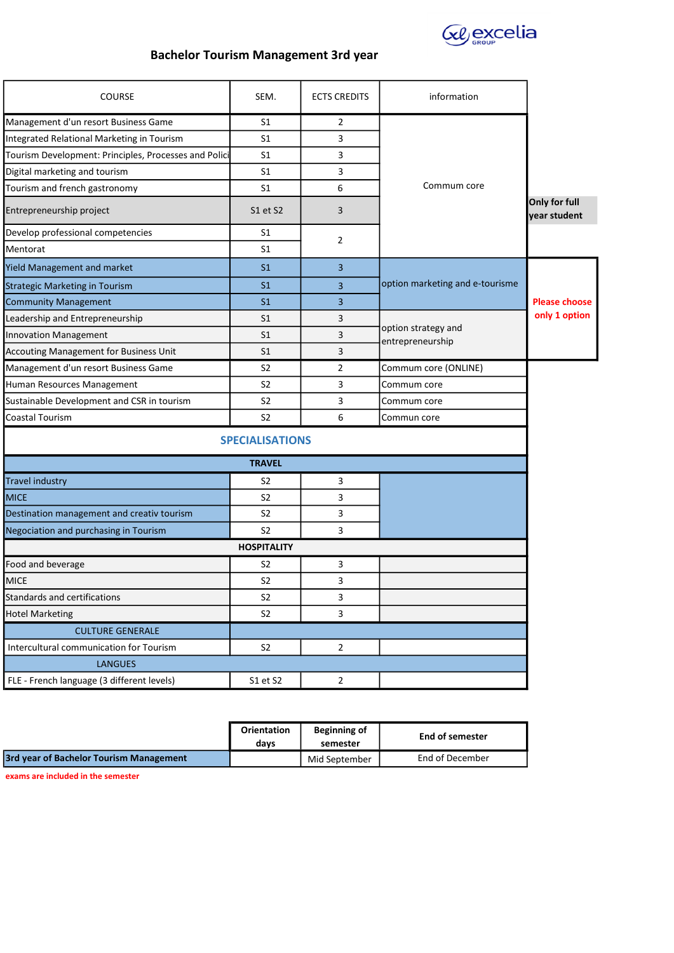

## Bachelor Tourism Management 3rd year

| <b>COURSE</b>                                         | SEM.                   | <b>ECTS CREDITS</b> | information                             |                               |
|-------------------------------------------------------|------------------------|---------------------|-----------------------------------------|-------------------------------|
| Management d'un resort Business Game                  | S1                     | 2                   |                                         |                               |
| Integrated Relational Marketing in Tourism            | S1                     | 3                   |                                         |                               |
| Tourism Development: Principles, Processes and Polici | S <sub>1</sub>         | 3                   |                                         |                               |
| Digital marketing and tourism                         | S <sub>1</sub>         | 3                   |                                         |                               |
| Tourism and french gastronomy                         | S <sub>1</sub>         | 6                   | Commum core                             |                               |
| Entrepreneurship project                              | S1 et S2               | 3                   |                                         | Only for full<br>year student |
| Develop professional competencies                     | S1                     | 2                   |                                         |                               |
| Mentorat                                              | S <sub>1</sub>         |                     |                                         |                               |
| <b>Yield Management and market</b>                    | S <sub>1</sub>         | 3                   |                                         |                               |
| Strategic Marketing in Tourism                        | S <sub>1</sub>         | 3                   | option marketing and e-tourisme         |                               |
| Community Management                                  | S <sub>1</sub>         | 3                   |                                         | <b>Please choose</b>          |
| Leadership and Entrepreneurship                       | S <sub>1</sub>         | 3                   |                                         | only 1 option                 |
| Innovation Management                                 | S1                     | 3                   | option strategy and<br>entrepreneurship |                               |
| Accouting Management for Business Unit                | S <sub>1</sub>         | 3                   |                                         |                               |
| Management d'un resort Business Game                  | S <sub>2</sub>         | 2                   | Commum core (ONLINE)                    |                               |
| Human Resources Management                            | S <sub>2</sub>         | 3                   | Commum core                             |                               |
| Sustainable Development and CSR in tourism            | S <sub>2</sub>         | 3                   | Commum core                             |                               |
| Coastal Tourism                                       | S <sub>2</sub>         | 6                   | Commun core                             |                               |
|                                                       | <b>SPECIALISATIONS</b> |                     |                                         |                               |
|                                                       | <b>TRAVEL</b>          |                     |                                         |                               |
| <b>Travel industry</b>                                | S <sub>2</sub>         | 3                   |                                         |                               |
| <b>MICE</b>                                           | S <sub>2</sub>         | 3                   |                                         |                               |
| Destination management and creativ tourism            | S <sub>2</sub>         | 3                   |                                         |                               |
| Negociation and purchasing in Tourism                 | S <sub>2</sub>         | 3                   |                                         |                               |
|                                                       | <b>HOSPITALITY</b>     |                     |                                         |                               |
| Food and beverage                                     | S2                     | 3                   |                                         |                               |
| MICE                                                  | S <sub>2</sub>         | 3                   |                                         |                               |
| Standards and certifications                          | S <sub>2</sub>         | 3                   |                                         |                               |
| <b>Hotel Marketing</b>                                | S <sub>2</sub>         | 3                   |                                         |                               |
| <b>CULTURE GENERALE</b>                               |                        |                     |                                         |                               |
| Intercultural communication for Tourism               | S <sub>2</sub>         | $\overline{2}$      |                                         |                               |
| <b>LANGUES</b>                                        |                        |                     |                                         |                               |
| FLE - French language (3 different levels)            | S1 et S2               | $\overline{2}$      |                                         |                               |

|                                                | <b>Orientation</b><br>davs | Beginning of<br>semester | End of semester |
|------------------------------------------------|----------------------------|--------------------------|-----------------|
| <b>3rd year of Bachelor Tourism Management</b> |                            | Mid September            | End of December |

exams are included in the semester